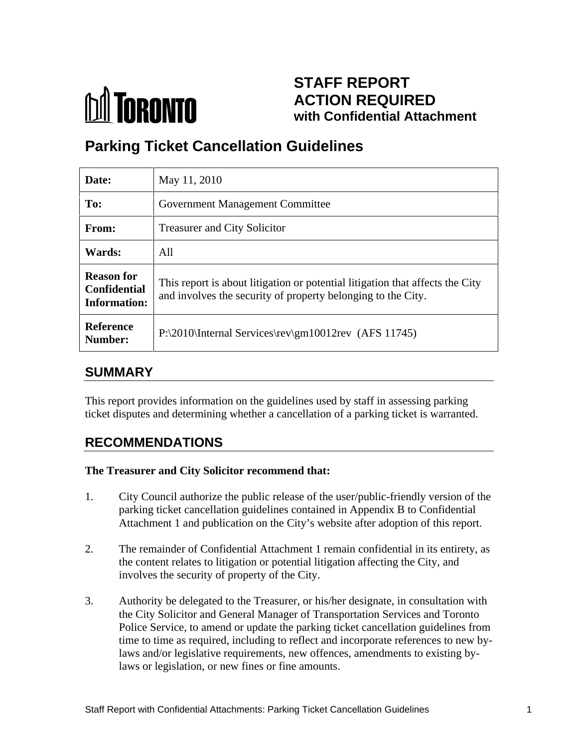

# **STAFF REPORT ACTION REQUIRED with Confidential Attachment**

# **Parking Ticket Cancellation Guidelines**

| Date:                                                           | May 11, 2010                                                                                                                                  |
|-----------------------------------------------------------------|-----------------------------------------------------------------------------------------------------------------------------------------------|
| To:                                                             | <b>Government Management Committee</b>                                                                                                        |
| From:                                                           | <b>Treasurer and City Solicitor</b>                                                                                                           |
| <b>Wards:</b>                                                   | All                                                                                                                                           |
| <b>Reason for</b><br><b>Confidential</b><br><b>Information:</b> | This report is about litigation or potential litigation that affects the City<br>and involves the security of property belonging to the City. |
| Reference<br>Number:                                            | $P:\2010\text{Internal Services}\rev\gamma 10012rev (AFS 11745)$                                                                              |

### **SUMMARY**

This report provides information on the guidelines used by staff in assessing parking ticket disputes and determining whether a cancellation of a parking ticket is warranted.

## **RECOMMENDATIONS**

#### **The Treasurer and City Solicitor recommend that:**

- 1. City Council authorize the public release of the user/public-friendly version of the parking ticket cancellation guidelines contained in Appendix B to Confidential Attachment 1 and publication on the City's website after adoption of this report.
- 2. The remainder of Confidential Attachment 1 remain confidential in its entirety, as the content relates to litigation or potential litigation affecting the City, and involves the security of property of the City.
- 3. Authority be delegated to the Treasurer, or his/her designate, in consultation with the City Solicitor and General Manager of Transportation Services and Toronto Police Service, to amend or update the parking ticket cancellation guidelines from time to time as required, including to reflect and incorporate references to new bylaws and/or legislative requirements, new offences, amendments to existing bylaws or legislation, or new fines or fine amounts.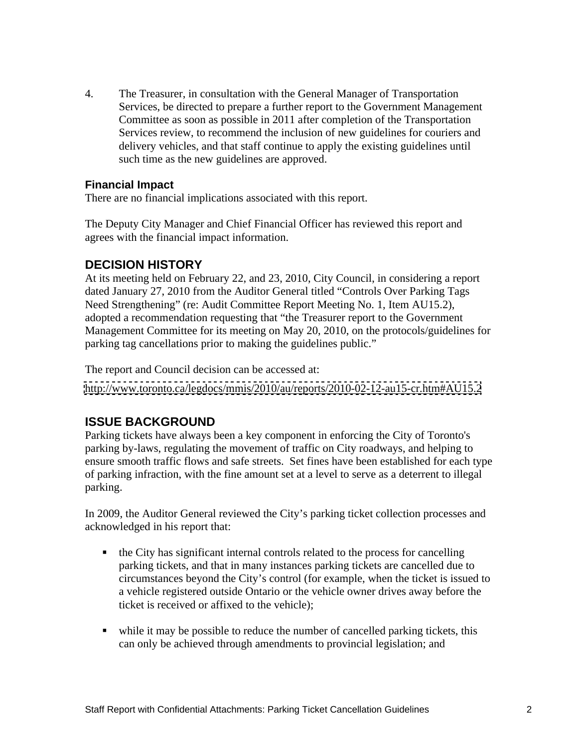4. The Treasurer, in consultation with the General Manager of Transportation Services, be directed to prepare a further report to the Government Management Committee as soon as possible in 2011 after completion of the Transportation Services review, to recommend the inclusion of new guidelines for couriers and delivery vehicles, and that staff continue to apply the existing guidelines until such time as the new guidelines are approved.

#### **Financial Impact**

There are no financial implications associated with this report.

The Deputy City Manager and Chief Financial Officer has reviewed this report and agrees with the financial impact information.

#### **DECISION HISTORY**

At its meeting held on February 22, and 23, 2010, City Council, in considering a report dated January 27, 2010 from the Auditor General titled "Controls Over Parking Tags Need Strengthening" (re: Audit Committee Report Meeting No. 1, Item AU15.2), adopted a recommendation requesting that "the Treasurer report to the Government Management Committee for its meeting on May 20, 2010, on the protocols/guidelines for parking tag cancellations prior to making the guidelines public."

The report and Council decision can be accessed at:

<http://www.toronto.ca/legdocs/mmis/2010/au/reports/2010-02-12-au15-cr.htm#AU15.2>

### **ISSUE BACKGROUND**

Parking tickets have always been a key component in enforcing the City of Toronto's parking by-laws, regulating the movement of traffic on City roadways, and helping to ensure smooth traffic flows and safe streets. Set fines have been established for each type of parking infraction, with the fine amount set at a level to serve as a deterrent to illegal parking.

In 2009, the Auditor General reviewed the City's parking ticket collection processes and acknowledged in his report that:

- the City has significant internal controls related to the process for cancelling parking tickets, and that in many instances parking tickets are cancelled due to circumstances beyond the City's control (for example, when the ticket is issued to a vehicle registered outside Ontario or the vehicle owner drives away before the ticket is received or affixed to the vehicle);
- while it may be possible to reduce the number of cancelled parking tickets, this can only be achieved through amendments to provincial legislation; and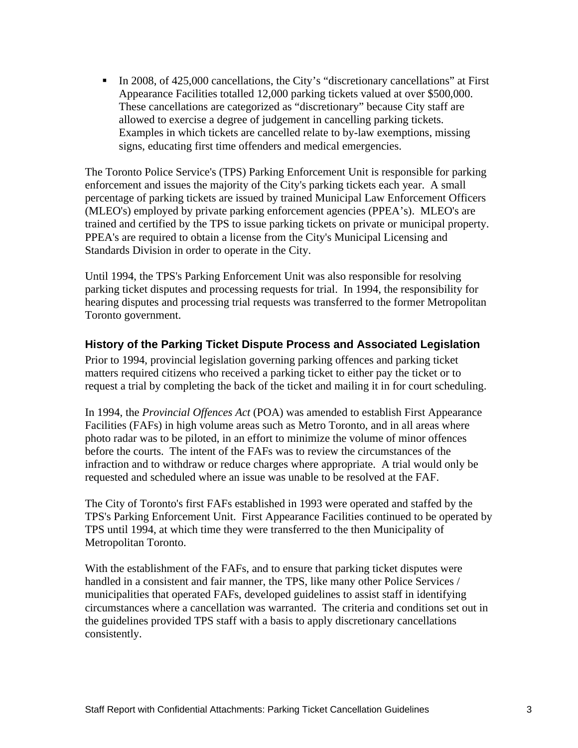$\blacksquare$ In 2008, of 425,000 cancellations, the City's "discretionary cancellations" at First Appearance Facilities totalled 12,000 parking tickets valued at over \$500,000. These cancellations are categorized as "discretionary" because City staff are allowed to exercise a degree of judgement in cancelling parking tickets. Examples in which tickets are cancelled relate to by-law exemptions, missing signs, educating first time offenders and medical emergencies.

The Toronto Police Service's (TPS) Parking Enforcement Unit is responsible for parking enforcement and issues the majority of the City's parking tickets each year. A small percentage of parking tickets are issued by trained Municipal Law Enforcement Officers (MLEO's) employed by private parking enforcement agencies (PPEA's). MLEO's are trained and certified by the TPS to issue parking tickets on private or municipal property. PPEA's are required to obtain a license from the City's Municipal Licensing and Standards Division in order to operate in the City.

Until 1994, the TPS's Parking Enforcement Unit was also responsible for resolving parking ticket disputes and processing requests for trial. In 1994, the responsibility for hearing disputes and processing trial requests was transferred to the former Metropolitan Toronto government.

#### **History of the Parking Ticket Dispute Process and Associated Legislation**

Prior to 1994, provincial legislation governing parking offences and parking ticket matters required citizens who received a parking ticket to either pay the ticket or to request a trial by completing the back of the ticket and mailing it in for court scheduling.

In 1994, the *Provincial Offences Act* (POA) was amended to establish First Appearance Facilities (FAFs) in high volume areas such as Metro Toronto, and in all areas where photo radar was to be piloted, in an effort to minimize the volume of minor offences before the courts. The intent of the FAFs was to review the circumstances of the infraction and to withdraw or reduce charges where appropriate. A trial would only be requested and scheduled where an issue was unable to be resolved at the FAF.

The City of Toronto's first FAFs established in 1993 were operated and staffed by the TPS's Parking Enforcement Unit. First Appearance Facilities continued to be operated by TPS until 1994, at which time they were transferred to the then Municipality of Metropolitan Toronto.

 With the establishment of the FAFs, and to ensure that parking ticket disputes were handled in a consistent and fair manner, the TPS, like many other Police Services / municipalities that operated FAFs, developed guidelines to assist staff in identifying circumstances where a cancellation was warranted. The criteria and conditions set out in the guidelines provided TPS staff with a basis to apply discretionary cancellations consistently.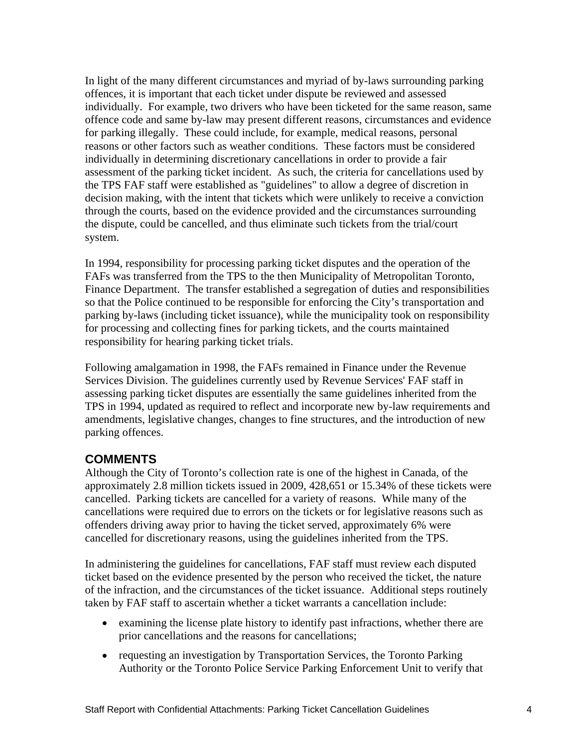In light of the many different circumstances and myriad of by-laws surrounding parking offences, it is important that each ticket under dispute be reviewed and assessed individually. For example, two drivers who have been ticketed for the same reason, same offence code and same by-law may present different reasons, circumstances and evidence for parking illegally. These could include, for example, medical reasons, personal reasons or other factors such as weather conditions. These factors must be considered individually in determining discretionary cancellations in order to provide a fair assessment of the parking ticket incident. As such, the criteria for cancellations used by the TPS FAF staff were established as "guidelines" to allow a degree of discretion in decision making, with the intent that tickets which were unlikely to receive a conviction through the courts, based on the evidence provided and the circumstances surrounding the dispute, could be cancelled, and thus eliminate such tickets from the trial/court system.

In 1994, responsibility for processing parking ticket disputes and the operation of the FAFs was transferred from the TPS to the then Municipality of Metropolitan Toronto, Finance Department. The transfer established a segregation of duties and responsibilities so that the Police continued to be responsible for enforcing the City's transportation and parking by-laws (including ticket issuance), while the municipality took on responsibility for processing and collecting fines for parking tickets, and the courts maintained responsibility for hearing parking ticket trials.

Following amalgamation in 1998, the FAFs remained in Finance under the Revenue Services Division. The guidelines currently used by Revenue Services' FAF staff in assessing parking ticket disputes are essentially the same guidelines inherited from the TPS in 1994, updated as required to reflect and incorporate new by-law requirements and amendments, legislative changes, changes to fine structures, and the introduction of new parking offences.

### **COMMENTS**

Although the City of Toronto's collection rate is one of the highest in Canada, of the approximately 2.8 million tickets issued in 2009, 428,651 or 15.34% of these tickets were cancelled. Parking tickets are cancelled for a variety of reasons. While many of the cancellations were required due to errors on the tickets or for legislative reasons such as offenders driving away prior to having the ticket served, approximately 6% were cancelled for discretionary reasons, using the guidelines inherited from the TPS.

In administering the guidelines for cancellations, FAF staff must review each disputed ticket based on the evidence presented by the person who received the ticket, the nature of the infraction, and the circumstances of the ticket issuance. Additional steps routinely taken by FAF staff to ascertain whether a ticket warrants a cancellation include:

- examining the license plate history to identify past infractions, whether there are prior cancellations and the reasons for cancellations;
- requesting an investigation by Transportation Services, the Toronto Parking Authority or the Toronto Police Service Parking Enforcement Unit to verify that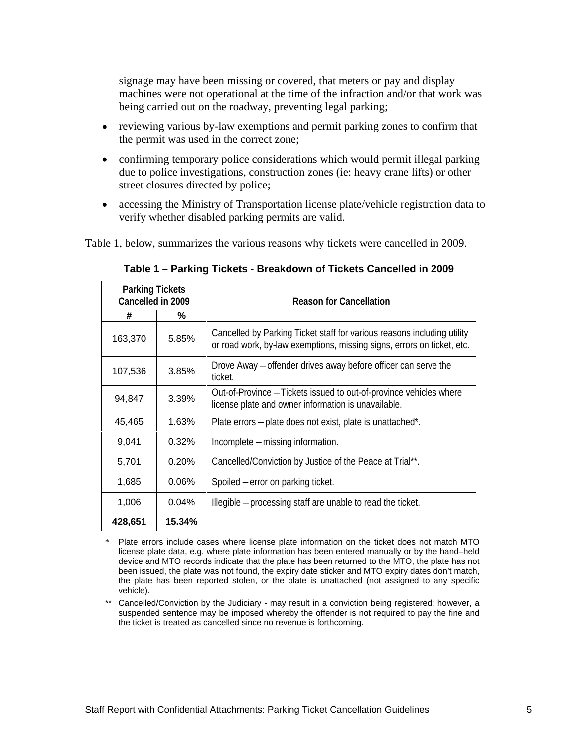signage may have been missing or covered, that meters or pay and display machines were not operational at the time of the infraction and/or that work was being carried out on the roadway, preventing legal parking;

- reviewing various by-law exemptions and permit parking zones to confirm that the permit was used in the correct zone;
- confirming temporary police considerations which would permit illegal parking due to police investigations, construction zones (ie: heavy crane lifts) or other street closures directed by police;
- $\bullet$ accessing the Ministry of Transportation license plate/vehicle registration data to verify whether disabled parking permits are valid.

Table 1, below, summarizes the various reasons why tickets were cancelled in 2009.

|         | <b>Parking Tickets</b><br>Cancelled in 2009 | <b>Reason for Cancellation</b>                                                                                                                    |
|---------|---------------------------------------------|---------------------------------------------------------------------------------------------------------------------------------------------------|
|         | $\%$                                        |                                                                                                                                                   |
| 163,370 | 5.85%                                       | Cancelled by Parking Ticket staff for various reasons including utility<br>or road work, by-law exemptions, missing signs, errors on ticket, etc. |
| 107,536 | 3.85%                                       | Drove Away - offender drives away before officer can serve the<br>ticket.                                                                         |
| 94,847  | 3.39%                                       | Out-of-Province - Tickets issued to out-of-province vehicles where<br>license plate and owner information is unavailable.                         |
| 45,465  | 1.63%                                       | Plate errors - plate does not exist, plate is unattached*.                                                                                        |
| 9,041   | 0.32%                                       | Incomplete - missing information.                                                                                                                 |
| 5,701   | 0.20%                                       | Cancelled/Conviction by Justice of the Peace at Trial**.                                                                                          |
| 1,685   | 0.06%                                       | Spoiled – error on parking ticket.                                                                                                                |
| 1,006   | 0.04%                                       | Illegible - processing staff are unable to read the ticket.                                                                                       |
| 428,651 | 15.34%                                      |                                                                                                                                                   |

**Table 1 – Parking Tickets - Breakdown of Tickets Cancelled in 2009**

Plate errors include cases where license plate information on the ticket does not match MTO license plate data, e.g. where plate information has been entered manually or by the hand–held device and MTO records indicate that the plate has been returned to the MTO, the plate has not been issued, the plate was not found, the expiry date sticker and MTO expiry dates don't match, the plate has been reported stolen, or the plate is unattached (not assigned to any specific vehicle). The contract of the contract of the contract of the contract of the contract of the contract of the contract of the contract of the contract of the contract of the contract of the contract of the contract of the

\*\* Cancelled/Conviction by the Judiciary - may result in a conviction being registered; however, a suspended sentence may be imposed whereby the offender is not required to pay the fine and the ticket is treated as cancelled since no revenue is forthcoming.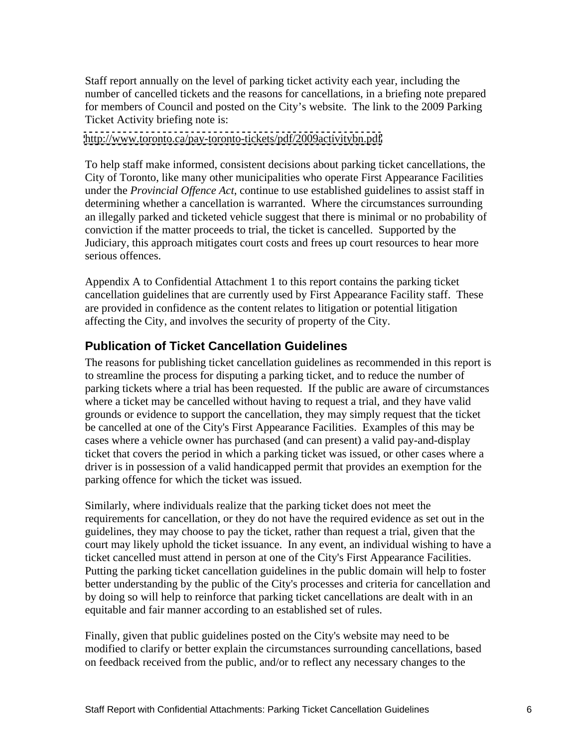Staff report annually on the level of parking ticket activity each year, including the number of cancelled tickets and the reasons for cancellations, in a briefing note prepared for members of Council and posted on the City's website. The link to the 2009 Parking Ticket Activity briefing note is:

#### <http://www.toronto.ca/pay-toronto-tickets/pdf/2009activitybn.pdf>

To help staff make informed, consistent decisions about parking ticket cancellations, the City of Toronto, like many other municipalities who operate First Appearance Facilities under the *Provincial Offence Act*, continue to use established guidelines to assist staff in determining whether a cancellation is warranted. Where the circumstances surrounding an illegally parked and ticketed vehicle suggest that there is minimal or no probability of conviction if the matter proceeds to trial, the ticket is cancelled. Supported by the Judiciary, this approach mitigates court costs and frees up court resources to hear more serious offences.

Appendix A to Confidential Attachment 1 to this report contains the parking ticket cancellation guidelines that are currently used by First Appearance Facility staff. These are provided in confidence as the content relates to litigation or potential litigation affecting the City, and involves the security of property of the City.

#### **Publication of Ticket Cancellation Guidelines**

The reasons for publishing ticket cancellation guidelines as recommended in this report is to streamline the process for disputing a parking ticket, and to reduce the number of parking tickets where a trial has been requested. If the public are aware of circumstances where a ticket may be cancelled without having to request a trial, and they have valid grounds or evidence to support the cancellation, they may simply request that the ticket be cancelled at one of the City's First Appearance Facilities. Examples of this may be cases where a vehicle owner has purchased (and can present) a valid pay-and-display ticket that covers the period in which a parking ticket was issued, or other cases where a driver is in possession of a valid handicapped permit that provides an exemption for the parking offence for which the ticket was issued.

Similarly, where individuals realize that the parking ticket does not meet the requirements for cancellation, or they do not have the required evidence as set out in the guidelines, they may choose to pay the ticket, rather than request a trial, given that the court may likely uphold the ticket issuance. In any event, an individual wishing to have a ticket cancelled must attend in person at one of the City's First Appearance Facilities. Putting the parking ticket cancellation guidelines in the public domain will help to foster better understanding by the public of the City's processes and criteria for cancellation and by doing so will help to reinforce that parking ticket cancellations are dealt with in an equitable and fair manner according to an established set of rules.

Finally, given that public guidelines posted on the City's website may need to be modified to clarify or better explain the circumstances surrounding cancellations, based on feedback received from the public, and/or to reflect any necessary changes to the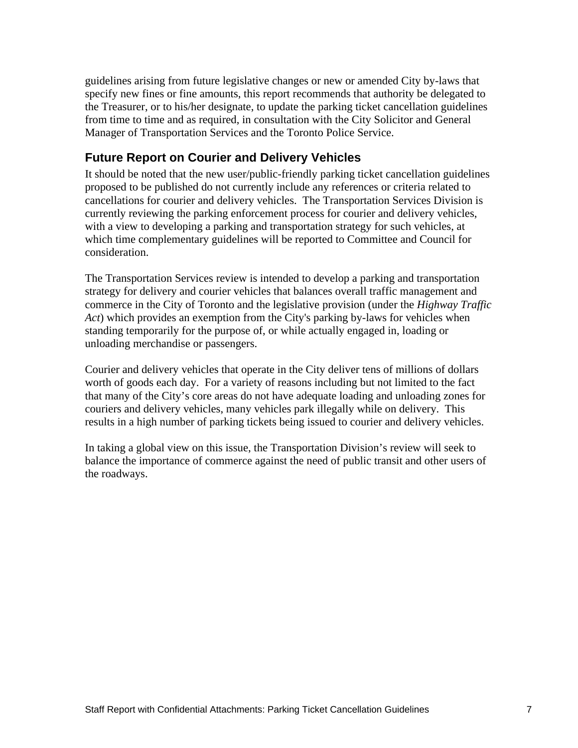guidelines arising from future legislative changes or new or amended City by-laws that specify new fines or fine amounts, this report recommends that authority be delegated to the Treasurer, or to his/her designate, to update the parking ticket cancellation guidelines from time to time and as required, in consultation with the City Solicitor and General Manager of Transportation Services and the Toronto Police Service.

### **Future Report on Courier and Delivery Vehicles**

It should be noted that the new user/public-friendly parking ticket cancellation guidelines proposed to be published do not currently include any references or criteria related to cancellations for courier and delivery vehicles. The Transportation Services Division is currently reviewing the parking enforcement process for courier and delivery vehicles, with a view to developing a parking and transportation strategy for such vehicles, at which time complementary guidelines will be reported to Committee and Council for consideration.

The Transportation Services review is intended to develop a parking and transportation strategy for delivery and courier vehicles that balances overall traffic management and commerce in the City of Toronto and the legislative provision (under the *Highway Traffic Act*) which provides an exemption from the City's parking by-laws for vehicles when standing temporarily for the purpose of, or while actually engaged in, loading or unloading merchandise or passengers.

Courier and delivery vehicles that operate in the City deliver tens of millions of dollars worth of goods each day. For a variety of reasons including but not limited to the fact that many of the City's core areas do not have adequate loading and unloading zones for couriers and delivery vehicles, many vehicles park illegally while on delivery. This results in a high number of parking tickets being issued to courier and delivery vehicles.

 In taking a global view on this issue, the Transportation Division's review will seek to balance the importance of commerce against the need of public transit and other users of the roadways.